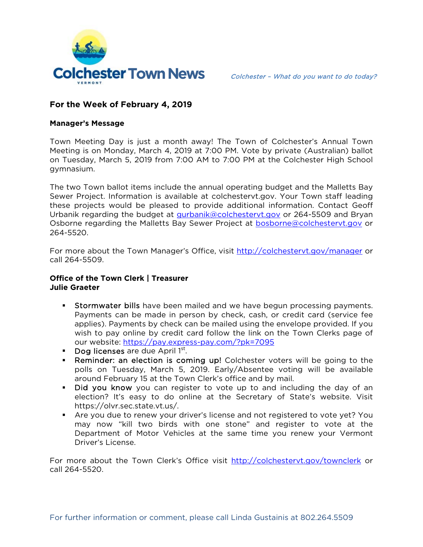

# **For the Week of February 4, 2019**

#### **Manager's Message**

Town Meeting Day is just a month away! The Town of Colchester's Annual Town Meeting is on Monday, March 4, 2019 at 7:00 PM. Vote by private (Australian) ballot on Tuesday, March 5, 2019 from 7:00 AM to 7:00 PM at the Colchester High School gymnasium.

The two Town ballot items include the annual operating budget and the Malletts Bay Sewer Project. Information is available at colchestervt.gov. Your Town staff leading these projects would be pleased to provide additional information. Contact Geoff Urbanik regarding the budget at gurbanik@colchestervt.gov or 264-5509 and Bryan Osborne regarding the Malletts Bay Sewer Project at bosborne@colchestervt.gov or 264-5520.

For more about the Town Manager's Office, visit http://colchestervt.gov/manager or call 264-5509.

### **Office of the Town Clerk | Treasurer Julie Graeter**

- **Stormwater bills** have been mailed and we have begun processing payments. Payments can be made in person by check, cash, or credit card (service fee applies). Payments by check can be mailed using the envelope provided. If you wish to pay online by credit card follow the link on the Town Clerks page of our website: https://pay.express-pay.com/?pk=7095
- **Dog licenses** are due April  $1<sup>st</sup>$ .
- **Reminder: an election is coming up!** Colchester voters will be going to the polls on Tuesday, March 5, 2019. Early/Absentee voting will be available around February 15 at the Town Clerk's office and by mail.
- Did you know you can register to vote up to and including the day of an election? It's easy to do online at the Secretary of State's website. Visit https://olvr.sec.state.vt.us/.
- Are you due to renew your driver's license and not registered to vote yet? You may now "kill two birds with one stone" and register to vote at the Department of Motor Vehicles at the same time you renew your Vermont Driver's License.

For more about the Town Clerk's Office visit http://colchestervt.gov/townclerk or call 264-5520.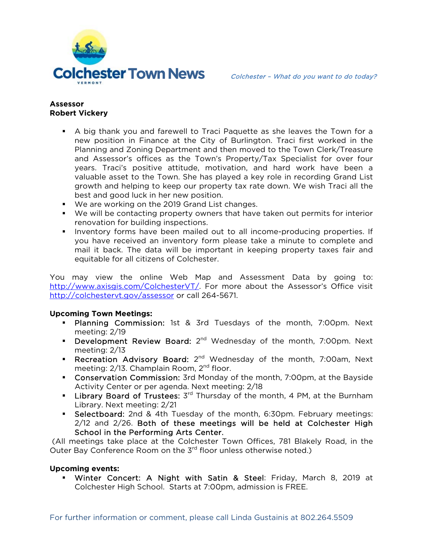

## **Assessor Robert Vickery**

- A big thank you and farewell to Traci Paquette as she leaves the Town for a new position in Finance at the City of Burlington. Traci first worked in the Planning and Zoning Department and then moved to the Town Clerk/Treasure and Assessor's offices as the Town's Property/Tax Specialist for over four years. Traci's positive attitude, motivation, and hard work have been a valuable asset to the Town. She has played a key role in recording Grand List growth and helping to keep our property tax rate down. We wish Traci all the best and good luck in her new position.
- We are working on the 2019 Grand List changes.
- We will be contacting property owners that have taken out permits for interior renovation for building inspections.
- **Inventory forms have been mailed out to all income-producing properties. If** you have received an inventory form please take a minute to complete and mail it back. The data will be important in keeping property taxes fair and equitable for all citizens of Colchester.

You may view the online Web Map and Assessment Data by going to: http://www.axisgis.com/ColchesterVT/. For more about the Assessor's Office visit http://colchestervt.gov/assessor or call 264-5671.

### **Upcoming Town Meetings:**

- **Planning Commission:** 1st & 3rd Tuesdays of the month, 7:00pm. Next meeting: 2/19
- Development Review Board: 2<sup>nd</sup> Wednesday of the month, 7:00pm. Next meeting: 2/13
- Recreation Advisory Board:  $2^{nd}$  Wednesday of the month, 7:00am, Next meeting: 2/13. Champlain Room, 2<sup>nd</sup> floor.
- Conservation Commission: 3rd Monday of the month, 7:00pm, at the Bayside Activity Center or per agenda. Next meeting: 2/18
- **Library Board of Trustees:**  $3^{rd}$  Thursday of the month, 4 PM, at the Burnham Library. Next meeting: 2/21
- **Selectboard:** 2nd & 4th Tuesday of the month, 6:30pm. February meetings: 2/12 and 2/26. Both of these meetings will be held at Colchester High School in the Performing Arts Center.

 (All meetings take place at the Colchester Town Offices, 781 Blakely Road, in the Outer Bay Conference Room on the 3<sup>rd</sup> floor unless otherwise noted.)

### **Upcoming events:**

 Winter Concert: A Night with Satin & Steel: Friday, March 8, 2019 at Colchester High School. Starts at 7:00pm, admission is FREE.